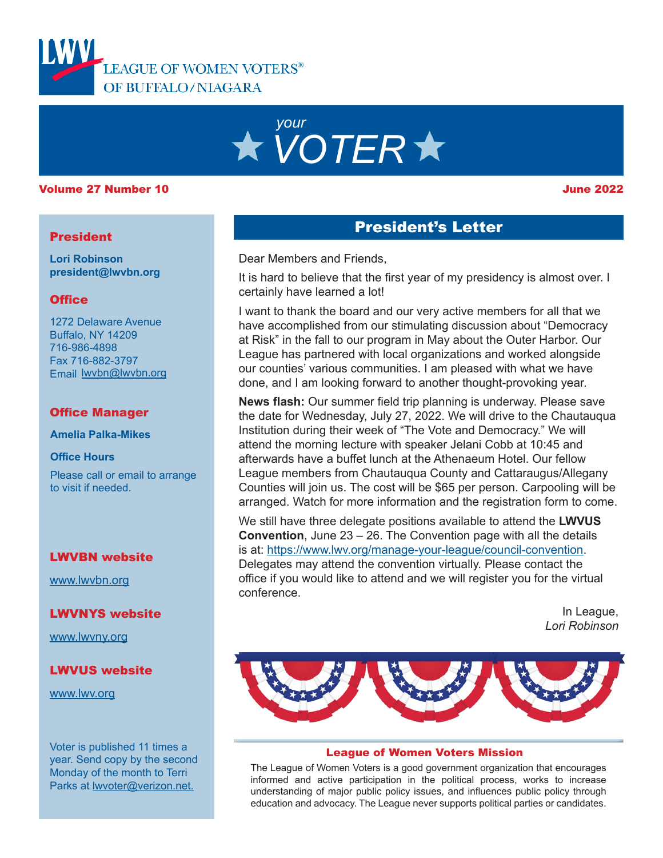



### Volume 27 Number 10 June 2022

### **President**

**Lori Robinson president@lwvbn.org**

### **Office**

1272 Delaware Avenue Buffalo, NY 14209 716-986-4898 Fax 716-882-3797 Email lwvbn@lwvbn.org

### Office Manager

**Amelia Palka-Mikes**

### **Office Hours**

Please call or email to arrange to visit if needed.

### LWVBN website

[www.lwvbn.org](https://www.lwvbn.org/)

### LWVNYS website

[www.lwvny.org](https://www.lwvny.org/)

### LWVUS website

[www.lwv.org](https://www.lwv.org/)

Voter is published 11 times a year. Send copy by the second Monday of the month to Terri Parks at [lwvoter@verizon.net](mailto://lwvoter@verizon.net).

### President's Letter

Dear Members and Friends,

It is hard to believe that the first year of my presidency is almost over. I certainly have learned a lot!

I want to thank the board and our very active members for all that we have accomplished from our stimulating discussion about "Democracy at Risk" in the fall to our program in May about the Outer Harbor. Our League has partnered with local organizations and worked alongside our counties' various communities. I am pleased with what we have done, and I am looking forward to another thought-provoking year.

**News flash:** Our summer field trip planning is underway. Please save the date for Wednesday, July 27, 2022. We will drive to the Chautauqua Institution during their week of "The Vote and Democracy." We will attend the morning lecture with speaker Jelani Cobb at 10:45 and afterwards have a buffet lunch at the Athenaeum Hotel. Our fellow League members from Chautauqua County and Cattaraugus/Allegany Counties will join us. The cost will be \$65 per person. Carpooling will be arranged. Watch for more information and the registration form to come.

We still have three delegate positions available to attend the **LWVUS Convention**, June 23 – 26. The Convention page with all the details is at: [https://www.lwv.org/manage-your-league/council-conventio](https://www.lwv.org/manage-your-league/council-convention)n. Delegates may attend the convention virtually. Please contact the office if you would like to attend and we will register you for the virtual conference.

> In League, *Lori Robinson*



### League of Women Voters Mission

The League of Women Voters is a good government organization that encourages informed and active participation in the political process, works to increase understanding of major public policy issues, and influences public policy through education and advocacy. The League never supports political parties or candidates.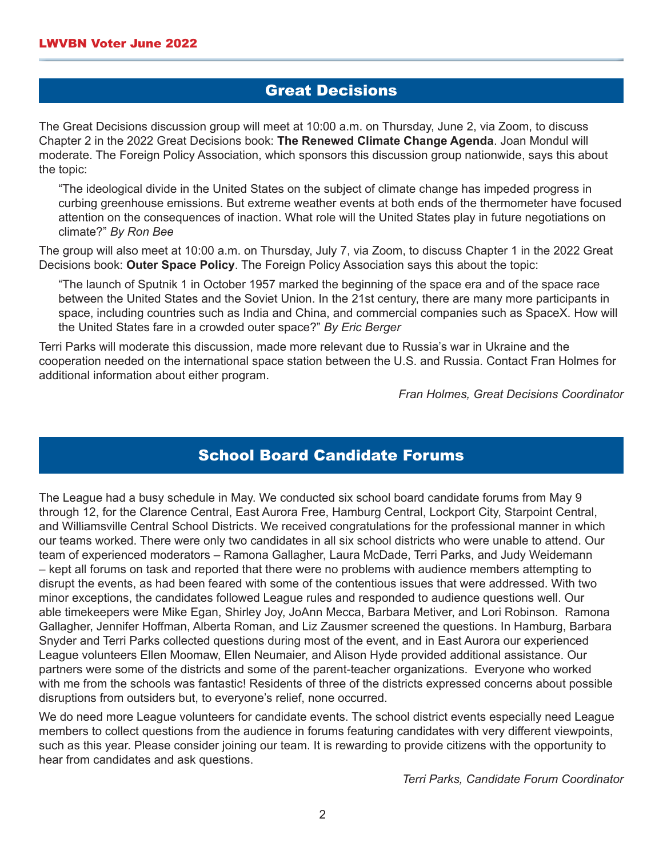## Great Decisions

The Great Decisions discussion group will meet at 10:00 a.m. on Thursday, June 2, via Zoom, to discuss Chapter 2 in the 2022 Great Decisions book: **The Renewed Climate Change Agenda**. Joan Mondul will moderate. The Foreign Policy Association, which sponsors this discussion group nationwide, says this about the topic:

"The ideological divide in the United States on the subject of climate change has impeded progress in curbing greenhouse emissions. But extreme weather events at both ends of the thermometer have focused attention on the consequences of inaction. What role will the United States play in future negotiations on climate?" *By Ron Bee* 

The group will also meet at 10:00 a.m. on Thursday, July 7, via Zoom, to discuss Chapter 1 in the 2022 Great Decisions book: **Outer Space Policy**. The Foreign Policy Association says this about the topic:

"The launch of Sputnik 1 in October 1957 marked the beginning of the space era and of the space race between the United States and the Soviet Union. In the 21st century, there are many more participants in space, including countries such as India and China, and commercial companies such as SpaceX. How will the United States fare in a crowded outer space?" *By Eric Berger*

Terri Parks will moderate this discussion, made more relevant due to Russia's war in Ukraine and the cooperation needed on the international space station between the U.S. and Russia. Contact Fran Holmes for additional information about either program.

*Fran Holmes, Great Decisions Coordinator*

## School Board Candidate Forums

The League had a busy schedule in May. We conducted six school board candidate forums from May 9 through 12, for the Clarence Central, East Aurora Free, Hamburg Central, Lockport City, Starpoint Central, and Williamsville Central School Districts. We received congratulations for the professional manner in which our teams worked. There were only two candidates in all six school districts who were unable to attend. Our team of experienced moderators – Ramona Gallagher, Laura McDade, Terri Parks, and Judy Weidemann – kept all forums on task and reported that there were no problems with audience members attempting to disrupt the events, as had been feared with some of the contentious issues that were addressed. With two minor exceptions, the candidates followed League rules and responded to audience questions well. Our able timekeepers were Mike Egan, Shirley Joy, JoAnn Mecca, Barbara Metiver, and Lori Robinson. Ramona Gallagher, Jennifer Hoffman, Alberta Roman, and Liz Zausmer screened the questions. In Hamburg, Barbara Snyder and Terri Parks collected questions during most of the event, and in East Aurora our experienced League volunteers Ellen Moomaw, Ellen Neumaier, and Alison Hyde provided additional assistance. Our partners were some of the districts and some of the parent-teacher organizations. Everyone who worked with me from the schools was fantastic! Residents of three of the districts expressed concerns about possible disruptions from outsiders but, to everyone's relief, none occurred.

We do need more League volunteers for candidate events. The school district events especially need League members to collect questions from the audience in forums featuring candidates with very different viewpoints, such as this year. Please consider joining our team. It is rewarding to provide citizens with the opportunity to hear from candidates and ask questions.

*Terri Parks, Candidate Forum Coordinator*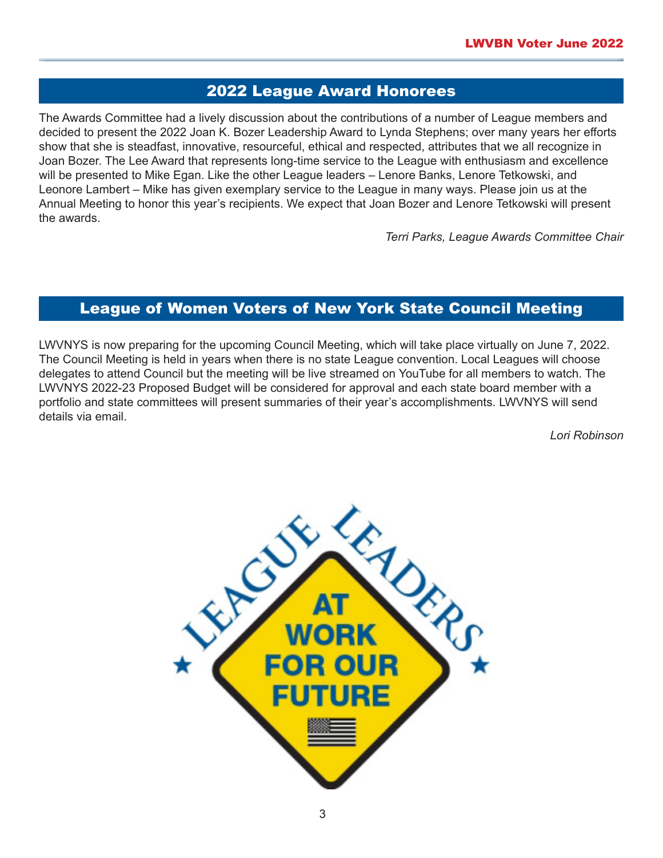# 2022 League Award Honorees

The Awards Committee had a lively discussion about the contributions of a number of League members and decided to present the 2022 Joan K. Bozer Leadership Award to Lynda Stephens; over many years her efforts show that she is steadfast, innovative, resourceful, ethical and respected, attributes that we all recognize in Joan Bozer. The Lee Award that represents long-time service to the League with enthusiasm and excellence will be presented to Mike Egan. Like the other League leaders – Lenore Banks, Lenore Tetkowski, and Leonore Lambert – Mike has given exemplary service to the League in many ways. Please join us at the Annual Meeting to honor this year's recipients. We expect that Joan Bozer and Lenore Tetkowski will present the awards.

*Terri Parks, League Awards Committee Chair* 

# League of Women Voters of New York State Council Meeting

LWVNYS is now preparing for the upcoming Council Meeting, which will take place virtually on June 7, 2022. The Council Meeting is held in years when there is no state League convention. Local Leagues will choose delegates to attend Council but the meeting will be live streamed on YouTube for all members to watch. The LWVNYS 2022-23 Proposed Budget will be considered for approval and each state board member with a portfolio and state committees will present summaries of their year's accomplishments. LWVNYS will send details via email.

*Lori Robinson*